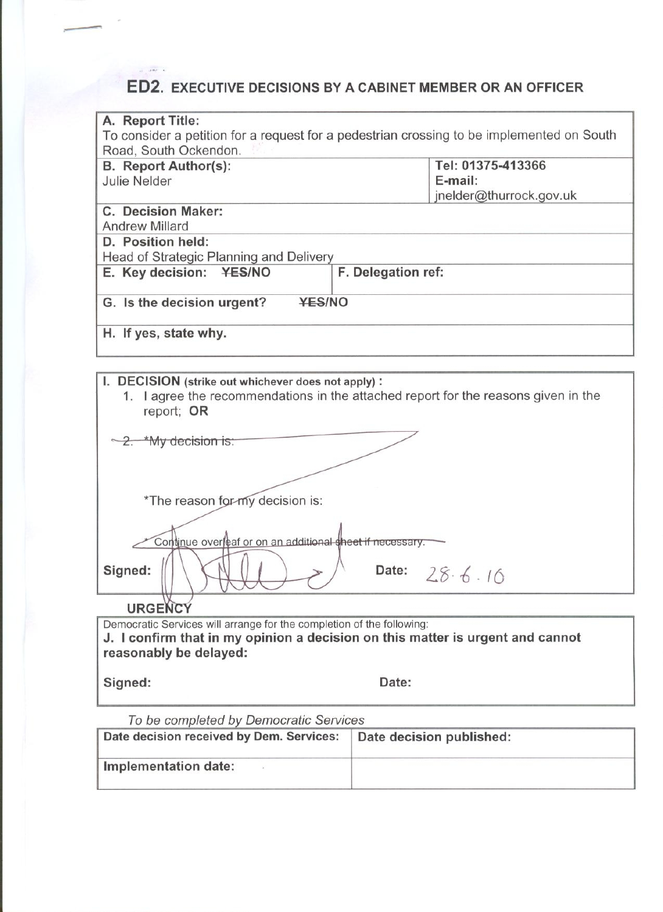## **ED2. EXECUTIVE DECISIONS BY A CABINET MEMBER OR AN OFFICER**

| A. Report Title:                                                                                                                                       |                                                                                           |  |
|--------------------------------------------------------------------------------------------------------------------------------------------------------|-------------------------------------------------------------------------------------------|--|
|                                                                                                                                                        | To consider a petition for a request for a pedestrian crossing to be implemented on South |  |
| Road, South Ockendon.                                                                                                                                  |                                                                                           |  |
| <b>B.</b> Report Author(s):                                                                                                                            | Tel: 01375-413366                                                                         |  |
| <b>Julie Nelder</b>                                                                                                                                    | E-mail:                                                                                   |  |
|                                                                                                                                                        | jnelder@thurrock.gov.uk                                                                   |  |
| C. Decision Maker:                                                                                                                                     |                                                                                           |  |
| <b>Andrew Millard</b>                                                                                                                                  |                                                                                           |  |
| D. Position held:                                                                                                                                      |                                                                                           |  |
| Head of Strategic Planning and Delivery                                                                                                                |                                                                                           |  |
| E. Key decision: ¥ES/NO                                                                                                                                | F. Delegation ref:                                                                        |  |
|                                                                                                                                                        |                                                                                           |  |
| <b>YES/NO</b><br>G. Is the decision urgent?                                                                                                            |                                                                                           |  |
| H. If yes, state why.                                                                                                                                  |                                                                                           |  |
|                                                                                                                                                        |                                                                                           |  |
|                                                                                                                                                        |                                                                                           |  |
| I. DECISION (strike out whichever does not apply):<br>1. I agree the recommendations in the attached report for the reasons given in the<br>report; OR |                                                                                           |  |
|                                                                                                                                                        |                                                                                           |  |
| 2. *My decision is:                                                                                                                                    |                                                                                           |  |
|                                                                                                                                                        |                                                                                           |  |
|                                                                                                                                                        |                                                                                           |  |
|                                                                                                                                                        |                                                                                           |  |
| *The reason for-my decision is:                                                                                                                        |                                                                                           |  |
|                                                                                                                                                        |                                                                                           |  |
| Continue overleaf or on an additional sheet if necessary.                                                                                              |                                                                                           |  |
| Signed:<br>Date: $28.6.16$                                                                                                                             |                                                                                           |  |
| <b>URGENCY</b>                                                                                                                                         |                                                                                           |  |
| Democratic Services will arrange for the completion of the following:                                                                                  |                                                                                           |  |
| Loopfirm that in my oninion a decision on this matter is urgent and cannot                                                                             |                                                                                           |  |

J. I contirm that in my opinion a decision on this matter is urgent an reasonably be delayed: າnot

Signed:

 $\frac{1}{2} \left( \frac{1}{2} \frac{1}{2} \frac{1}{2} \right) = \frac{1}{2} \left( \frac{1}{2} \frac{1}{2} \right)$ 

Date:

To be completed by Democratic Services

| Date decision received by Dem. Services: | Date decision published: |
|------------------------------------------|--------------------------|
| Implementation date:                     |                          |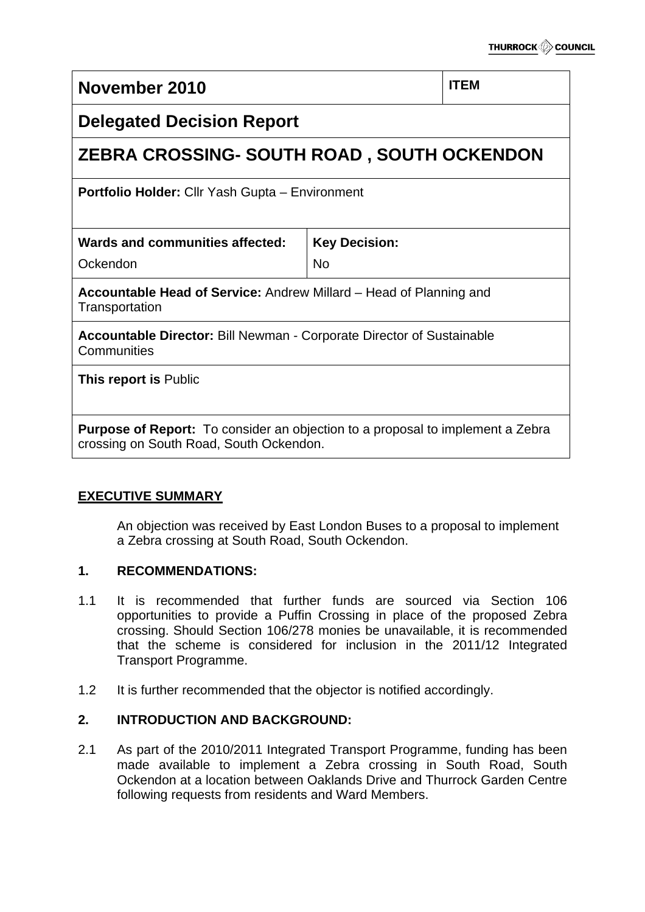# **November 2010 ITEM Delegated Decision Report ZEBRA CROSSING- SOUTH ROAD , SOUTH OCKENDON Portfolio Holder:** Cllr Yash Gupta – Environment **Wards and communities affected:** Ockendon **Key Decision:** No **Accountable Head of Service:** Andrew Millard – Head of Planning and **Transportation Accountable Director:** Bill Newman - Corporate Director of Sustainable **Communities This report is** Public **Purpose of Report:** To consider an objection to a proposal to implement a Zebra crossing on South Road, South Ockendon.

## **EXECUTIVE SUMMARY**

An objection was received by East London Buses to a proposal to implement a Zebra crossing at South Road, South Ockendon.

#### **1. RECOMMENDATIONS:**

- 1.1 It is recommended that further funds are sourced via Section 106 opportunities to provide a Puffin Crossing in place of the proposed Zebra crossing. Should Section 106/278 monies be unavailable, it is recommended that the scheme is considered for inclusion in the 2011/12 Integrated Transport Programme.
- 1.2 It is further recommended that the objector is notified accordingly.

## **2. INTRODUCTION AND BACKGROUND:**

2.1 As part of the 2010/2011 Integrated Transport Programme, funding has been made available to implement a Zebra crossing in South Road, South Ockendon at a location between Oaklands Drive and Thurrock Garden Centre following requests from residents and Ward Members.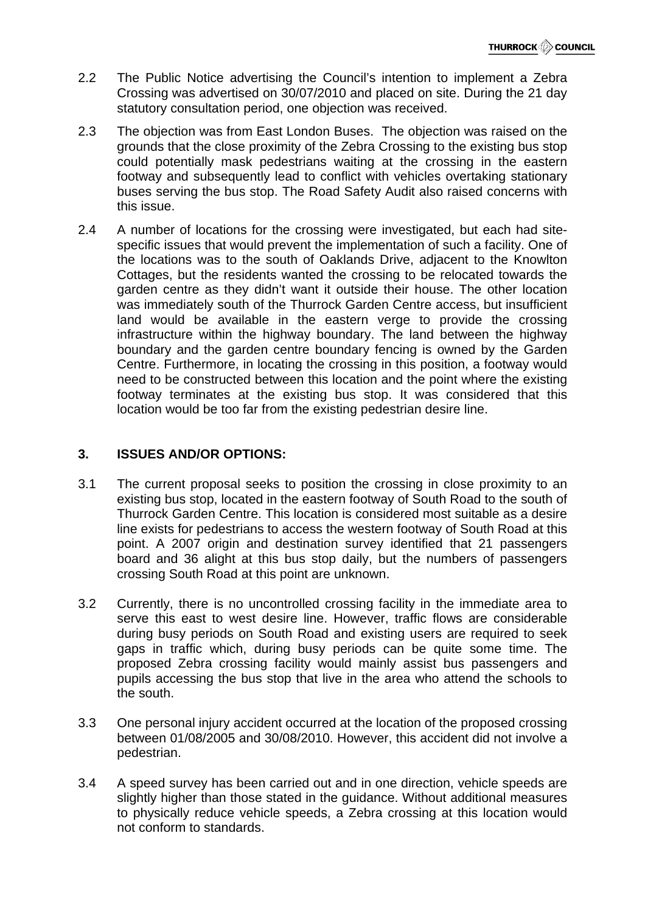- 2.2 The Public Notice advertising the Council's intention to implement a Zebra Crossing was advertised on 30/07/2010 and placed on site. During the 21 day statutory consultation period, one objection was received.
- 2.3 The objection was from East London Buses. The objection was raised on the grounds that the close proximity of the Zebra Crossing to the existing bus stop could potentially mask pedestrians waiting at the crossing in the eastern footway and subsequently lead to conflict with vehicles overtaking stationary buses serving the bus stop. The Road Safety Audit also raised concerns with this issue.
- 2.4 A number of locations for the crossing were investigated, but each had sitespecific issues that would prevent the implementation of such a facility. One of the locations was to the south of Oaklands Drive, adjacent to the Knowlton Cottages, but the residents wanted the crossing to be relocated towards the garden centre as they didn't want it outside their house. The other location was immediately south of the Thurrock Garden Centre access, but insufficient land would be available in the eastern verge to provide the crossing infrastructure within the highway boundary. The land between the highway boundary and the garden centre boundary fencing is owned by the Garden Centre. Furthermore, in locating the crossing in this position, a footway would need to be constructed between this location and the point where the existing footway terminates at the existing bus stop. It was considered that this location would be too far from the existing pedestrian desire line.

## **3. ISSUES AND/OR OPTIONS:**

- 3.1 The current proposal seeks to position the crossing in close proximity to an existing bus stop, located in the eastern footway of South Road to the south of Thurrock Garden Centre. This location is considered most suitable as a desire line exists for pedestrians to access the western footway of South Road at this point. A 2007 origin and destination survey identified that 21 passengers board and 36 alight at this bus stop daily, but the numbers of passengers crossing South Road at this point are unknown.
- 3.2 Currently, there is no uncontrolled crossing facility in the immediate area to serve this east to west desire line. However, traffic flows are considerable during busy periods on South Road and existing users are required to seek gaps in traffic which, during busy periods can be quite some time. The proposed Zebra crossing facility would mainly assist bus passengers and pupils accessing the bus stop that live in the area who attend the schools to the south.
- 3.3 One personal injury accident occurred at the location of the proposed crossing between 01/08/2005 and 30/08/2010. However, this accident did not involve a pedestrian.
- 3.4 A speed survey has been carried out and in one direction, vehicle speeds are slightly higher than those stated in the guidance. Without additional measures to physically reduce vehicle speeds, a Zebra crossing at this location would not conform to standards.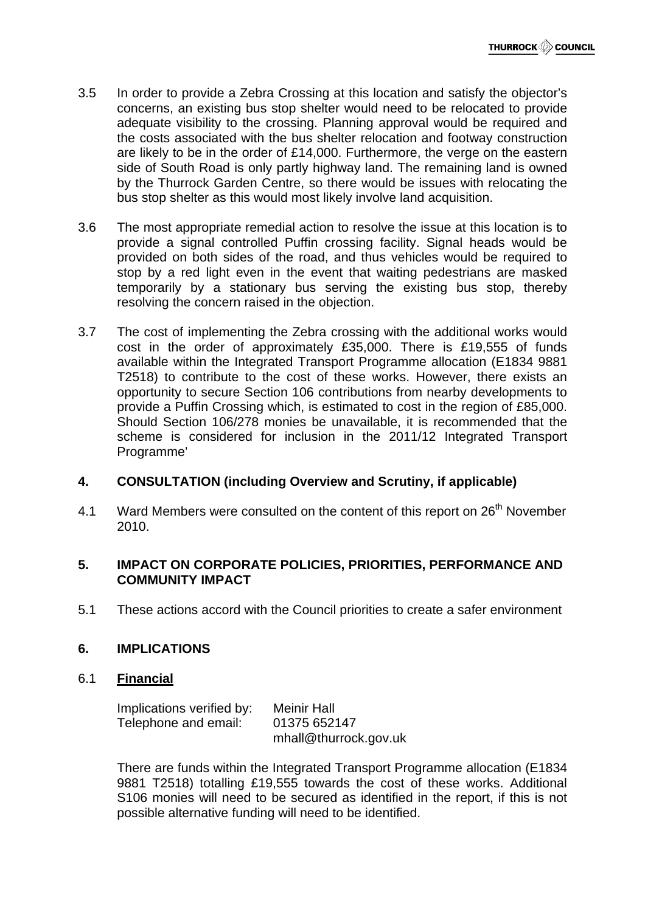- 3.5 In order to provide a Zebra Crossing at this location and satisfy the objector's concerns, an existing bus stop shelter would need to be relocated to provide adequate visibility to the crossing. Planning approval would be required and the costs associated with the bus shelter relocation and footway construction are likely to be in the order of £14,000. Furthermore, the verge on the eastern side of South Road is only partly highway land. The remaining land is owned by the Thurrock Garden Centre, so there would be issues with relocating the bus stop shelter as this would most likely involve land acquisition.
- 3.6 The most appropriate remedial action to resolve the issue at this location is to provide a signal controlled Puffin crossing facility. Signal heads would be provided on both sides of the road, and thus vehicles would be required to stop by a red light even in the event that waiting pedestrians are masked temporarily by a stationary bus serving the existing bus stop, thereby resolving the concern raised in the objection.
- 3.7 The cost of implementing the Zebra crossing with the additional works would cost in the order of approximately £35,000. There is £19,555 of funds available within the Integrated Transport Programme allocation (E1834 9881 T2518) to contribute to the cost of these works. However, there exists an opportunity to secure Section 106 contributions from nearby developments to provide a Puffin Crossing which, is estimated to cost in the region of £85,000. Should Section 106/278 monies be unavailable, it is recommended that the scheme is considered for inclusion in the 2011/12 Integrated Transport Programme'

#### **4. CONSULTATION (including Overview and Scrutiny, if applicable)**

4.1 Ward Members were consulted on the content of this report on 26<sup>th</sup> November 2010.

### **5. IMPACT ON CORPORATE POLICIES, PRIORITIES, PERFORMANCE AND COMMUNITY IMPACT**

5.1 These actions accord with the Council priorities to create a safer environment

#### **6. IMPLICATIONS**

#### 6.1 **Financial**

| Implications verified by: | <b>Meinir Hall</b>    |
|---------------------------|-----------------------|
| Telephone and email:      | 01375 652147          |
|                           | mhall@thurrock.gov.uk |

There are funds within the Integrated Transport Programme allocation (E1834 9881 T2518) totalling £19,555 towards the cost of these works. Additional S106 monies will need to be secured as identified in the report, if this is not possible alternative funding will need to be identified.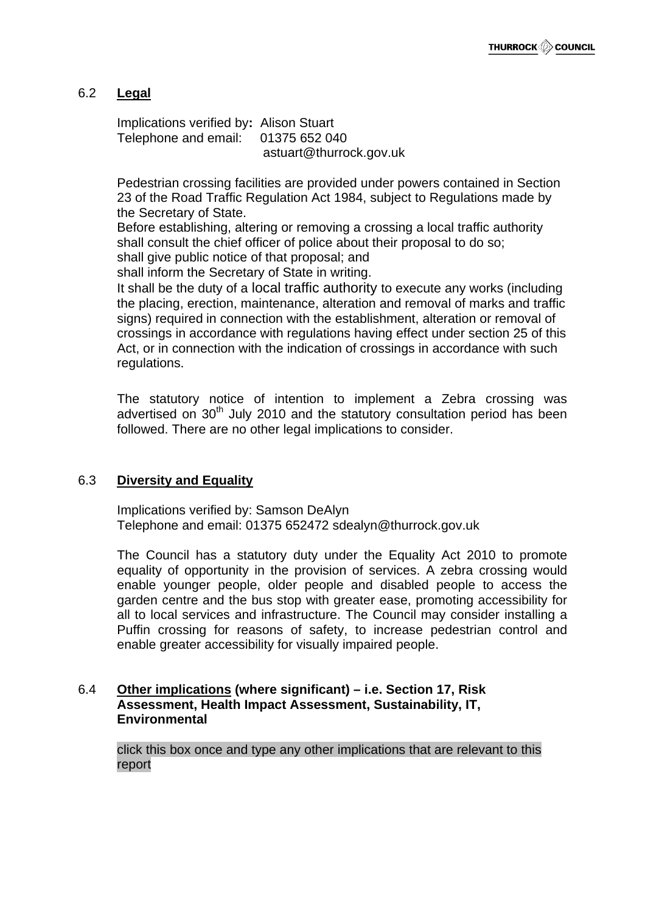## 6.2 **Legal**

Implications verified by**:** Alison Stuart Telephone and email: 01375 652 040 astuart@thurrock.gov.uk

Pedestrian crossing facilities are provided under powers contained in Section 23 of the Road Traffic Regulation Act 1984, subject to Regulations made by the Secretary of State.

Before establishing, altering or removing a crossing a local traffic authority shall consult the chief officer of police about their proposal to do so; shall give public notice of that proposal; and

shall inform the Secretary of State in writing.

It shall be the duty of a local traffic authority to execute any works (including the placing, erection, maintenance, alteration and removal of marks and traffic signs) required in connection with the establishment, alteration or removal of crossings in accordance with regulations having effect under section 25 of this Act, or in connection with the indication of crossings in accordance with such regulations.

The statutory notice of intention to implement a Zebra crossing was advertised on 30<sup>th</sup> July 2010 and the statutory consultation period has been followed. There are no other legal implications to consider.

#### 6.3 **Diversity and Equality**

Implications verified by: Samson DeAlyn Telephone and email: 01375 652472 sdealyn@thurrock.gov.uk

The Council has a statutory duty under the Equality Act 2010 to promote equality of opportunity in the provision of services. A zebra crossing would enable younger people, older people and disabled people to access the garden centre and the bus stop with greater ease, promoting accessibility for all to local services and infrastructure. The Council may consider installing a Puffin crossing for reasons of safety, to increase pedestrian control and enable greater accessibility for visually impaired people.

#### 6.4 **Other implications (where significant) – i.e. Section 17, Risk Assessment, Health Impact Assessment, Sustainability, IT, Environmental**

click this box once and type any other implications that are relevant to this report